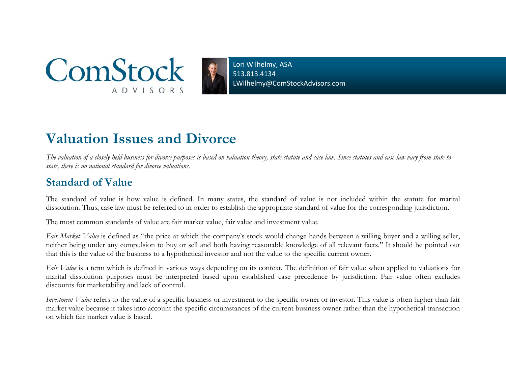

Lori Wilhelmy, ASA 513.813.4134LWilhelmy@ComStockAdvisors.com

# **Valuation Issues and Divorce**

*The valuation of a closely held business for divorce purposes is based on valuation theory, state statute and case law. Since statutes and case law vary from state to state, there is no national standard for divorce valuations.* 

### **Standard of Value**

The standard of value is how value is defined. In many states, the standard of value is not included within the statute for marital dissolution. Thus, case law must be referred to in order to establish the appropriate standard of value for the corresponding jurisdiction.

The most common standards of value are fair market value, fair value and investment value.

*Fair Market Value* is defined as "the price at which the company's stock would change hands between a willing buyer and a willing seller, neither being under any compulsion to buy or sell and both having reasonable knowledge of all relevant facts." It should be pointed out that this is the value of the business to a hypothetical investor and not the value to the specific current owner.

*Fair Value* is a term which is defined in various ways depending on its context. The definition of fair value when applied to valuations for marital dissolution purposes must be interpreted based upon established case precedence by jurisdiction. Fair value often excludes discounts for marketability and lack of control.

*Investment Value* refers to the value of a specific business or investment to the specific owner or investor. This value is often higher than fair market value because it takes into account the specific circumstances of the current business owner rather than the hypothetical transaction on which fair market value is based.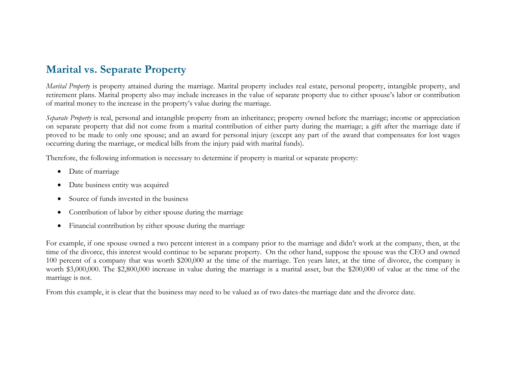# **Marital vs. Separate Property**

*Marital Property* is property attained during the marriage. Marital property includes real estate, personal property, intangible property, and retirement plans. Marital property also may include increases in the value of separate property due to either spouse's labor or contribution of marital money to the increase in the property's value during the marriage.

*Separate Property* is real, personal and intangible property from an inheritance; property owned before the marriage; income or appreciation on separate property that did not come from a marital contribution of either party during the marriage; a gift after the marriage date if proved to be made to only one spouse; and an award for personal injury (except any part of the award that compensates for lost wages occurring during the marriage, or medical bills from the injury paid with marital funds).

Therefore, the following information is necessary to determine if property is marital or separate property:

- $\bullet$ Date of marriage
- $\bullet$ Date business entity was acquired
- $\bullet$ Source of funds invested in the business
- $\bullet$ Contribution of labor by either spouse during the marriage
- $\bullet$ Financial contribution by either spouse during the marriage

For example, if one spouse owned a two percent interest in a company prior to the marriage and didn't work at the company, then, at the time of the divorce, this interest would continue to be separate property. On the other hand, suppose the spouse was the CEO and owned 100 percent of a company that was worth \$200,000 at the time of the marriage. Ten years later, at the time of divorce, the company is worth \$3,000,000. The \$2,800,000 increase in value during the marriage is a marital asset, but the \$200,000 of value at the time of the marriage is not.

From this example, it is clear that the business may need to be valued as of two dates-the marriage date and the divorce date.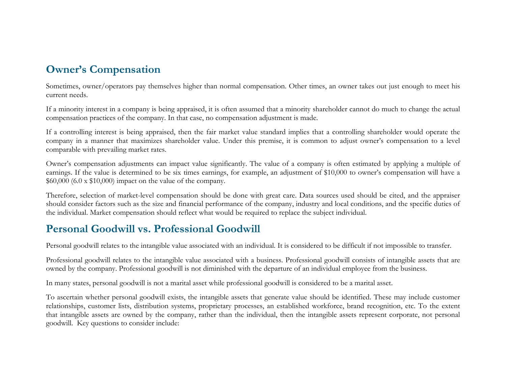# **Owner's Compensation**

Sometimes, owner/operators pay themselves higher than normal compensation. Other times, an owner takes out just enough to meet his current needs.

If a minority interest in a company is being appraised, it is often assumed that a minority shareholder cannot do much to change the actual compensation practices of the company. In that case, no compensation adjustment is made.

If a controlling interest is being appraised, then the fair market value standard implies that a controlling shareholder would operate the company in a manner that maximizes shareholder value. Under this premise, it is common to adjust owner's compensation to a level comparable with prevailing market rates.

Owner's compensation adjustments can impact value significantly. The value of a company is often estimated by applying a multiple of earnings. If the value is determined to be six times earnings, for example, an adjustment of \$10,000 to owner's compensation will have a  $$60,000$  (6.0 x  $$10,000$ ) impact on the value of the company.

Therefore, selection of market-level compensation should be done with great care. Data sources used should be cited, and the appraiser should consider factors such as the size and financial performance of the company, industry and local conditions, and the specific duties of the individual. Market compensation should reflect what would be required to replace the subject individual.

### **Personal Goodwill vs. Professional Goodwill**

Personal goodwill relates to the intangible value associated with an individual. It is considered to be difficult if not impossible to transfer.

Professional goodwill relates to the intangible value associated with a business. Professional goodwill consists of intangible assets that are owned by the company. Professional goodwill is not diminished with the departure of an individual employee from the business.

In many states, personal goodwill is not a marital asset while professional goodwill is considered to be a marital asset.

To ascertain whether personal goodwill exists, the intangible assets that generate value should be identified. These may include customer relationships, customer lists, distribution systems, proprietary processes, an established workforce, brand recognition, etc. To the extent that intangible assets are owned by the company, rather than the individual, then the intangible assets represent corporate, not personal goodwill. Key questions to consider include: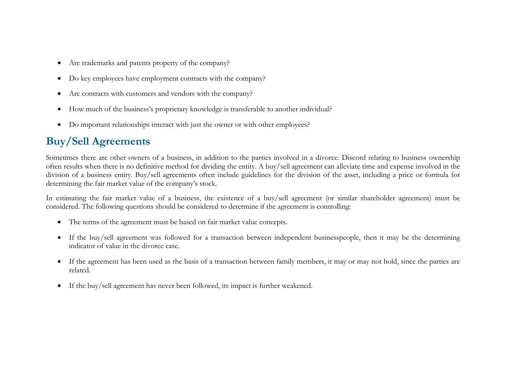- $\bullet$ Are trademarks and patents property of the company?
- $\bullet$ Do key employees have employment contracts with the company?
- $\bullet$ Are contracts with customers and vendors with the company?
- $\bullet$ How much of the business's proprietary knowledge is transferable to another individual?
- $\bullet$ Do important relationships interact with just the owner or with other employees?

# **Buy/Sell Agreements**

Sometimes there are other owners of a business, in addition to the parties involved in a divorce. Discord relating to business ownership often results when there is no definitive method for dividing the entity. A buy/sell agreement can alleviate time and expense involved in the division of a business entity. Buy/sell agreements often include guidelines for the division of the asset, including a price or formula for determining the fair market value of the company's stock.

In estimating the fair market value of a business, the existence of a buy/sell agreement (or similar shareholder agreement) must be considered. The following questions should be considered to determine if the agreement is controlling:

- The terms of the agreement must be based on fair market value concepts.
- If the buy/sell agreement was followed for a transaction between independent businesspeople, then it may be the determining indicator of value in the divorce case.
- If the agreement has been used as the basis of a transaction between family members, it may or may not hold, since the parties are related.
- $\bullet$ If the buy/sell agreement has never been followed, its impact is further weakened.